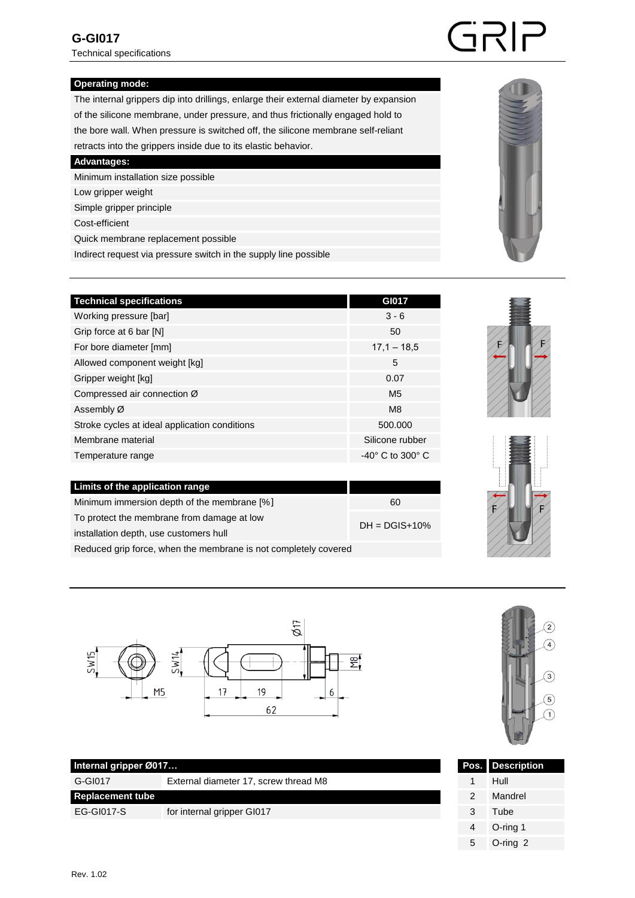#### **Operating mode:**

 The internal grippers dip into drillings, enlarge their external diameter by expansion of the silicone membrane, under pressure, and thus frictionally engaged hold to the bore wall. When pressure is switched off, the silicone membrane self-reliant retracts into the grippers inside due to its elastic behavior.

 **Advantages:**

Minimum installation size possible

Low gripper weight

Simple gripper principle

Cost-efficient

Quick membrane replacement possible

Indirect request via pressure switch in the supply line possible

| <b>Technical specifications</b>               | GI017            |
|-----------------------------------------------|------------------|
| Working pressure [bar]                        | $3 - 6$          |
| Grip force at 6 bar [N]                       | 50               |
| For bore diameter [mm]                        | $17.1 - 18.5$    |
| Allowed component weight [kg]                 | 5                |
| Gripper weight [kg]                           | 0.07             |
| Compressed air connection Ø                   | M <sub>5</sub>   |
| Assembly Ø                                    | M <sub>8</sub>   |
| Stroke cycles at ideal application conditions | 500,000          |
| Membrane material                             | Silicone rubber  |
| Temperature range                             | -40° C to 300° C |
|                                               |                  |
| Limits of the application range               |                  |

| $\epsilon$ contract the application range                       |                    |  |
|-----------------------------------------------------------------|--------------------|--|
| Minimum immersion depth of the membrane [%]                     | 60                 |  |
| To protect the membrane from damage at low                      |                    |  |
| installation depth, use customers hull                          | $DH = DGIS + 10\%$ |  |
| Reduced grip force, when the membrane is not completely covered |                    |  |



G-GI017 External diameter 17, screw thread M8

EG-GI017-S for internal gripper GI017

| $\overline{2}$      |
|---------------------|
| $\sqrt{4}$          |
| $\overline{3}$      |
|                     |
| $\overline{5}$<br>1 |
|                     |
|                     |

| Pos.          | <b>Description</b> |
|---------------|--------------------|
|               | Hull               |
| $\mathcal{P}$ | Mandrel            |
| 3             | Tube               |
| 4             | O-ring 1           |
| 5             | $O$ -ring $2$      |



GRIP





**Internal gripper Ø017...** 

**Replacement tube**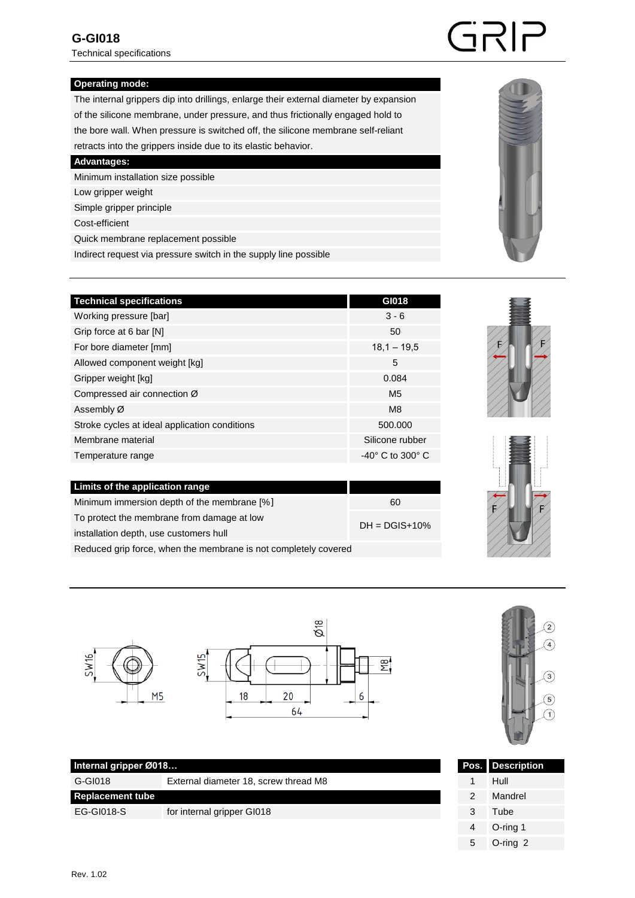Technical specifications

## **Operating mode:**

 The internal grippers dip into drillings, enlarge their external diameter by expansion of the silicone membrane, under pressure, and thus frictionally engaged hold to the bore wall. When pressure is switched off, the silicone membrane self-reliant retracts into the grippers inside due to its elastic behavior.

 **Advantages:**

Minimum installation size possible

Low gripper weight

Simple gripper principle

Cost-efficient

Quick membrane replacement possible

Indirect request via pressure switch in the supply line possible

| <b>Technical specifications</b>               | GI018                           |
|-----------------------------------------------|---------------------------------|
| Working pressure [bar]                        | $3 - 6$                         |
| Grip force at 6 bar [N]                       | 50                              |
| For bore diameter [mm]                        | $18,1 - 19,5$                   |
| Allowed component weight [kg]                 | 5                               |
| Gripper weight [kg]                           | 0.084                           |
| Compressed air connection Ø                   | M <sub>5</sub>                  |
| Assembly Ø                                    | M8                              |
| Stroke cycles at ideal application conditions | 500,000                         |
| Membrane material                             | Silicone rubber                 |
| Temperature range                             | $-40^\circ$ C to 300 $^\circ$ C |
|                                               |                                 |
| Limits of the application range               |                                 |

| Minimum immersion depth of the membrane [%]                     | 60              |  |
|-----------------------------------------------------------------|-----------------|--|
| To protect the membrane from damage at low                      |                 |  |
| installation depth, use customers hull                          | $DH = DGIS+10%$ |  |
| Reduced grip force, when the membrane is not completely covered |                 |  |







G-GI018 External diameter 18, screw thread M8

EG-GI018-S for internal gripper GI018



|   | <b>Pos.</b> Description |
|---|-------------------------|
|   | Hull                    |
| 2 | Mandrel                 |
| 3 | Tube                    |
| 4 | O-ring 1                |
| 5 | $O$ -ring $2$           |



GRIP

**SW16** 

**Internal gripper Ø018...** 

**Replacement tube**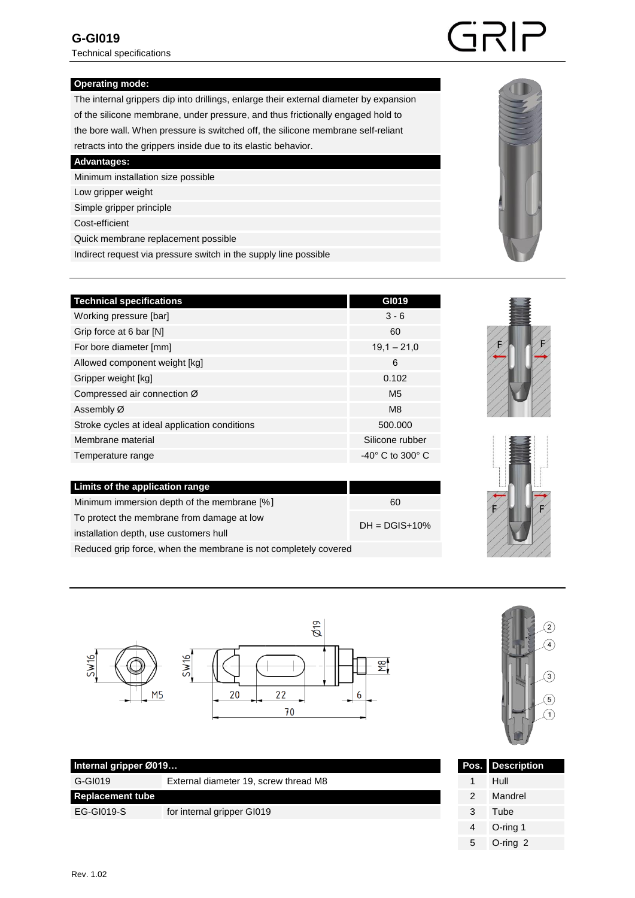Technical specifications

# SRP

### **Operating mode:**

 The internal grippers dip into drillings, enlarge their external diameter by expansion of the silicone membrane, under pressure, and thus frictionally engaged hold to the bore wall. When pressure is switched off, the silicone membrane self-reliant retracts into the grippers inside due to its elastic behavior.

 **Advantages:**

Minimum installation size possible

Low gripper weight

Simple gripper principle

Cost-efficient

Quick membrane replacement possible

Indirect request via pressure switch in the supply line possible

| <b>Technical specifications</b>               | GI019                           |
|-----------------------------------------------|---------------------------------|
| Working pressure [bar]                        | $3 - 6$                         |
| Grip force at 6 bar [N]                       | 60                              |
| For bore diameter [mm]                        | $19,1 - 21,0$                   |
| Allowed component weight [kg]                 | 6                               |
| Gripper weight [kg]                           | 0.102                           |
| Compressed air connection Ø                   | M <sub>5</sub>                  |
| Assembly Ø                                    | M <sub>8</sub>                  |
| Stroke cycles at ideal application conditions | 500,000                         |
| Membrane material                             | Silicone rubber                 |
| Temperature range                             | $-40^\circ$ C to 300 $^\circ$ C |
|                                               |                                 |
| Limits of the application range               |                                 |
| Minimum immersion depth of the membrane [%]   | 60                              |

| TO protoct the membrane non-damage at low                       | $DH = DGIS+10%$ |
|-----------------------------------------------------------------|-----------------|
| installation depth, use customers hull                          |                 |
| Reduced grip force, when the membrane is not completely covered |                 |

To protect the membrane from damage at low







G-GI019 External diameter 19, screw thread M8

for internal gripper GI019



| Pos.          | <b>Description</b> |
|---------------|--------------------|
|               | Hull               |
| $\mathcal{P}$ | Mandrel            |
| 3             | Tube               |
| 4             | O-ring 1           |
| 5             | O-ring 2           |

**Replacement tube** 

EG-GI019-S

**Internal gripper Ø019...**